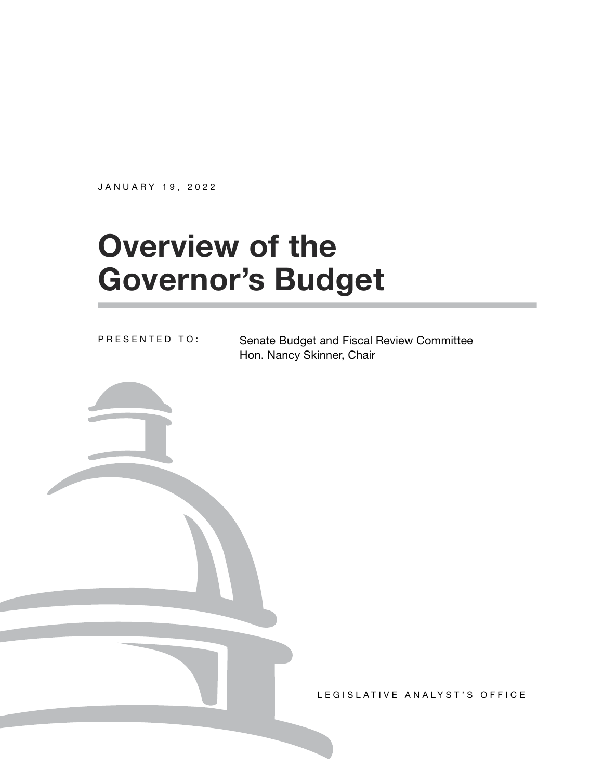JANUARY 19, 2022

# **Overview of the Governor's Budget**

PRESENTED TO:

Senate Budget and Fiscal Review Committee Hon. Nancy Skinner, Chair

LEGISLATIVE ANALYST'S OFFICE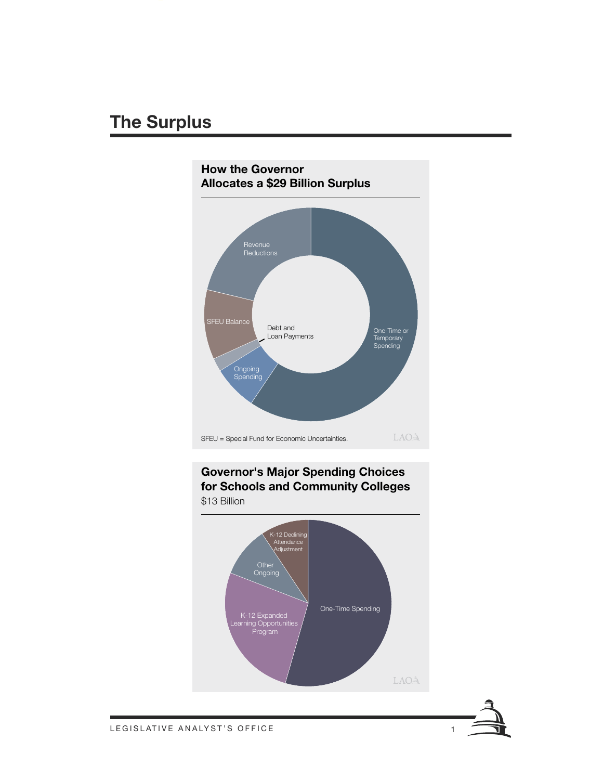# **The Surplus**









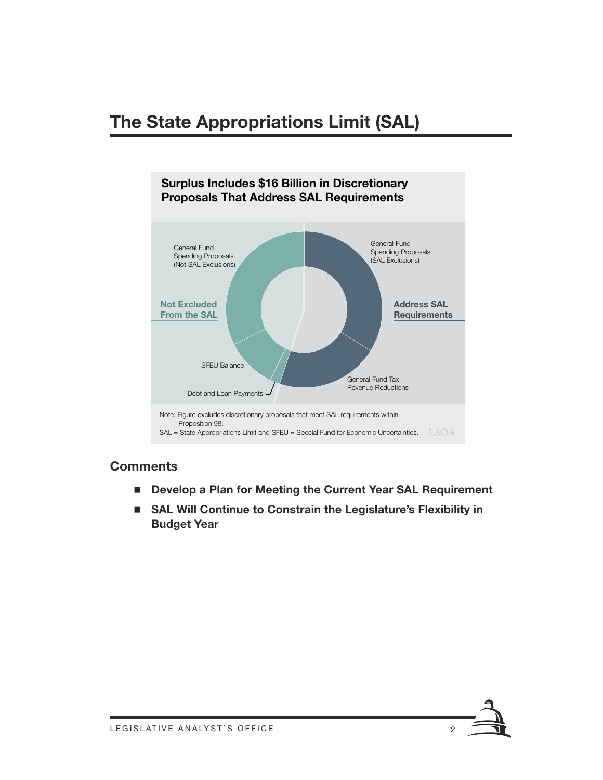# **The State Appropriations Limit (SAL)**



#### **Comments**

- Develop a Plan for Meeting the Current Year SAL Requirement
- SAL Will Continue to Constrain the Legislature's Flexibility in **Budget Year**

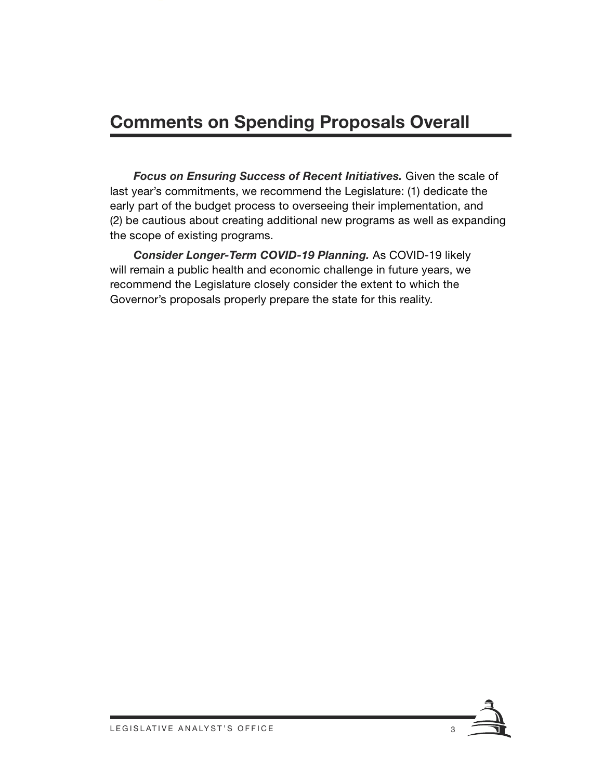# **Comments on Spending Proposals Overall**

*Focus on Ensuring Success of Recent Initiatives.* Given the scale of last year's commitments, we recommend the Legislature: (1) dedicate the early part of the budget process to overseeing their implementation, and (2) be cautious about creating additional new programs as well as expanding the scope of existing programs.

*Consider Longer‑Term COVID‑19 Planning.* As COVID‑19 likely will remain a public health and economic challenge in future years, we recommend the Legislature closely consider the extent to which the Governor's proposals properly prepare the state for this reality.

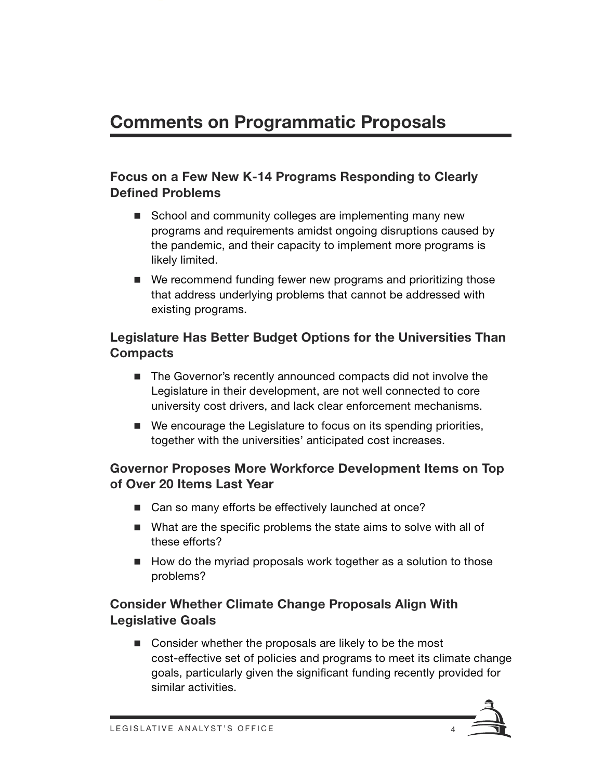# **Comments on Programmatic Proposals**

### **Focus on a Few New K-14 Programs Responding to Clearly Defined Problems**

- School and community colleges are implementing many new programs and requirements amidst ongoing disruptions caused by the pandemic, and their capacity to implement more programs is likely limited.
- We recommend funding fewer new programs and prioritizing those that address underlying problems that cannot be addressed with existing programs.

### **Legislature Has Better Budget Options for the Universities Than Compacts**

- The Governor's recently announced compacts did not involve the Legislature in their development, are not well connected to core university cost drivers, and lack clear enforcement mechanisms.
- We encourage the Legislature to focus on its spending priorities, together with the universities' anticipated cost increases.

### **Governor Proposes More Workforce Development Items on Top of Over 20 Items Last Year**

- Can so many efforts be effectively launched at once?
- What are the specific problems the state aims to solve with all of these efforts?
- How do the myriad proposals work together as a solution to those problems?

## **Consider Whether Climate Change Proposals Align With Legislative Goals**

Consider whether the proposals are likely to be the most cost-effective set of policies and programs to meet its climate change goals, particularly given the significant funding recently provided for similar activities.

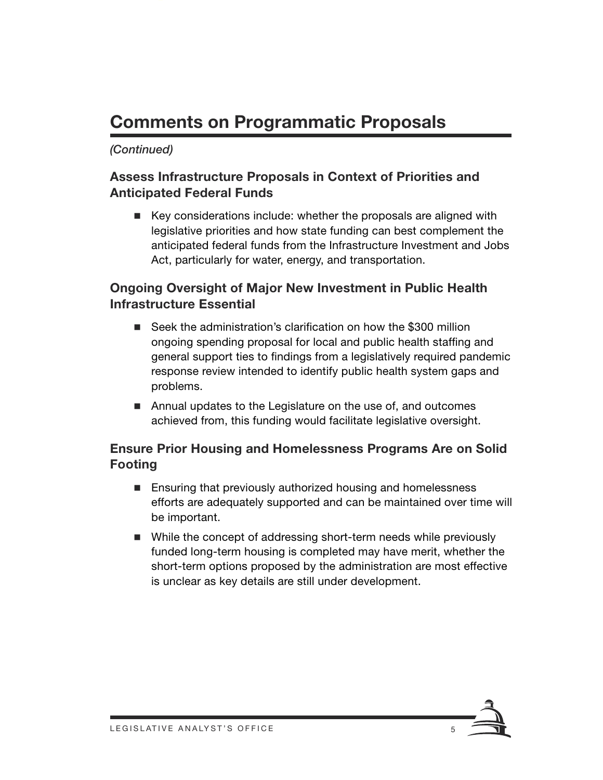# **Comments on Programmatic Proposals**

### *(Continued)*

### **Assess Infrastructure Proposals in Context of Priorities and Anticipated Federal Funds**

■ Key considerations include: whether the proposals are aligned with legislative priorities and how state funding can best complement the anticipated federal funds from the Infrastructure Investment and Jobs Act, particularly for water, energy, and transportation.

## **Ongoing Oversight of Major New Investment in Public Health Infrastructure Essential**

- Seek the administration's clarification on how the \$300 million ongoing spending proposal for local and public health staffing and general support ties to findings from a legislatively required pandemic response review intended to identify public health system gaps and problems.
- Annual updates to the Legislature on the use of, and outcomes achieved from, this funding would facilitate legislative oversight.

### **Ensure Prior Housing and Homelessness Programs Are on Solid Footing**

- Ensuring that previously authorized housing and homelessness efforts are adequately supported and can be maintained over time will be important.
- While the concept of addressing short-term needs while previously funded long-term housing is completed may have merit, whether the short-term options proposed by the administration are most effective is unclear as key details are still under development.

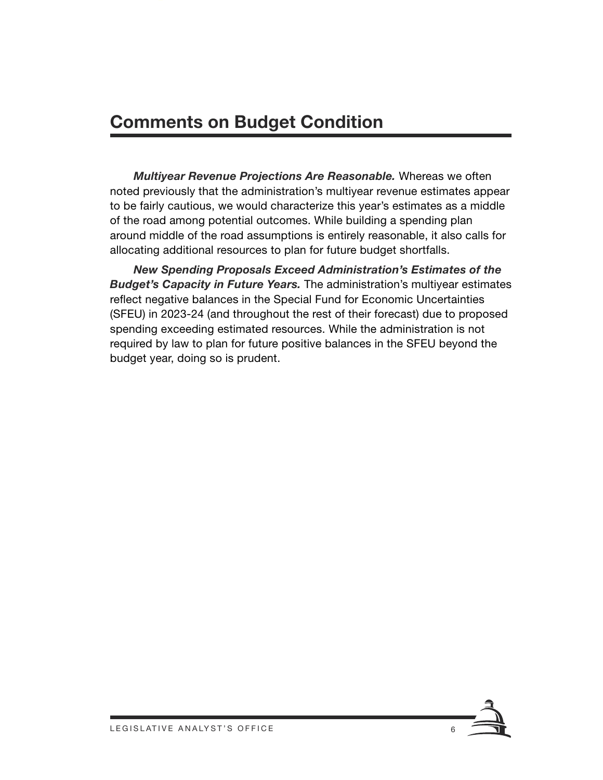# **Comments on Budget Condition**

*Multiyear Revenue Projections Are Reasonable.* Whereas we often noted previously that the administration's multiyear revenue estimates appear to be fairly cautious, we would characterize this year's estimates as a middle of the road among potential outcomes. While building a spending plan around middle of the road assumptions is entirely reasonable, it also calls for allocating additional resources to plan for future budget shortfalls.

*New Spending Proposals Exceed Administration's Estimates of the Budget's Capacity in Future Years.* The administration's multiyear estimates reflect negative balances in the Special Fund for Economic Uncertainties (SFEU) in 2023‑24 (and throughout the rest of their forecast) due to proposed spending exceeding estimated resources. While the administration is not required by law to plan for future positive balances in the SFEU beyond the budget year, doing so is prudent.